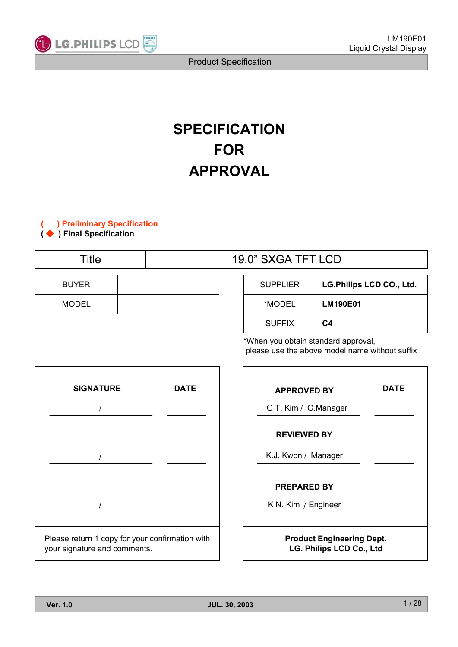

# **SPECIFICATION FOR APPROVAL**

**( ) Preliminary Specification**

**( ) Final Specification**

| Title        | 19.0" SXGA TFT LCD |                 |                          |  |  |
|--------------|--------------------|-----------------|--------------------------|--|--|
|              |                    |                 |                          |  |  |
| <b>BUYER</b> |                    | <b>SUPPLIER</b> | LG.Philips LCD CO., Ltd. |  |  |
| MODEL        |                    | *MODEL          | <b>LM190E01</b>          |  |  |

| <b>SUPPLIER</b> | LG.Philips LCD CO., Ltd. |
|-----------------|--------------------------|
| *MODEL          | <b>LM190E01</b>          |
| <b>SUFFIX</b>   | C4                       |

\*When you obtain standard approval, please use the above model name without suffix



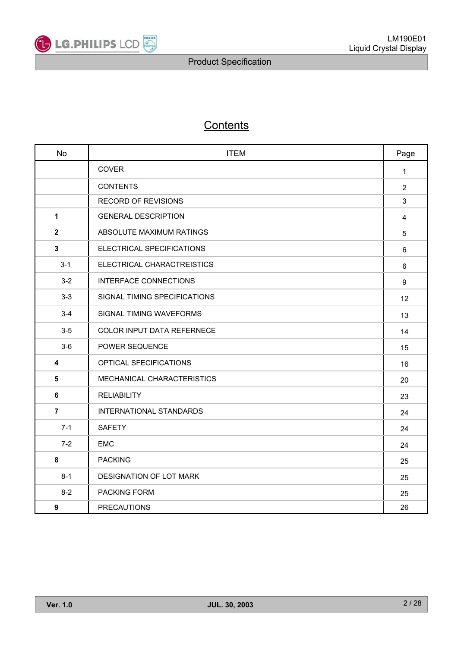

## **Contents**

| <b>No</b>      | <b>ITEM</b>                       | Page           |
|----------------|-----------------------------------|----------------|
|                | <b>COVER</b>                      | $\mathbf{1}$   |
|                | <b>CONTENTS</b>                   | 2              |
|                | <b>RECORD OF REVISIONS</b>        | 3              |
| 1              | <b>GENERAL DESCRIPTION</b>        | $\overline{4}$ |
| $\mathbf{2}$   | ABSOLUTE MAXIMUM RATINGS          | 5              |
| 3              | ELECTRICAL SPECIFICATIONS         | 6              |
| $3 - 1$        | ELECTRICAL CHARACTREISTICS        | 6              |
| $3-2$          | <b>INTERFACE CONNECTIONS</b>      | 9              |
| $3-3$          | SIGNAL TIMING SPECIFICATIONS      | 12             |
| $3 - 4$        | SIGNAL TIMING WAVEFORMS           | 13             |
| $3-5$          | <b>COLOR INPUT DATA REFERNECE</b> | 14             |
| $3-6$          | POWER SEQUENCE                    | 15             |
| 4              | OPTICAL SFECIFICATIONS            | 16             |
| 5              | MECHANICAL CHARACTERISTICS        | 20             |
| 6              | <b>RELIABILITY</b>                | 23             |
| $\overline{7}$ | <b>INTERNATIONAL STANDARDS</b>    | 24             |
| $7 - 1$        | <b>SAFETY</b>                     | 24             |
| $7 - 2$        | <b>EMC</b>                        | 24             |
| 8              | <b>PACKING</b>                    | 25             |
| $8 - 1$        | DESIGNATION OF LOT MARK           | 25             |
| $8 - 2$        | PACKING FORM                      | 25             |
| 9              | <b>PRECAUTIONS</b>                | 26             |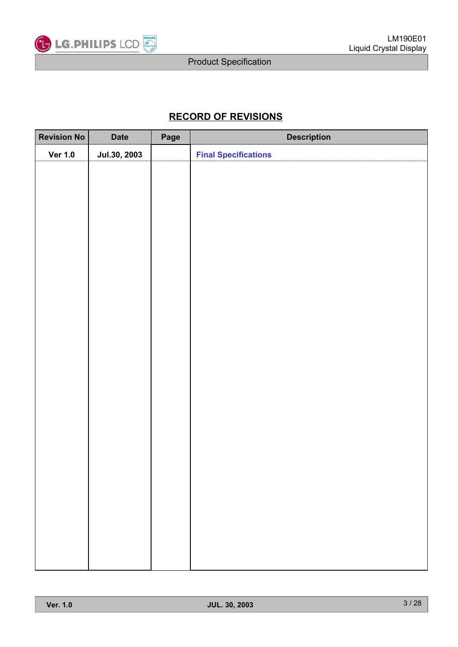

## **RECORD OF REVISIONS**

| <b>Revision No</b> | <b>Date</b>  | Page | <b>Description</b>          |
|--------------------|--------------|------|-----------------------------|
| <b>Ver 1.0</b>     | Jul.30, 2003 |      | <b>Final Specifications</b> |
|                    |              |      |                             |
|                    |              |      |                             |
|                    |              |      |                             |
|                    |              |      |                             |
|                    |              |      |                             |
|                    |              |      |                             |
|                    |              |      |                             |
|                    |              |      |                             |
|                    |              |      |                             |
|                    |              |      |                             |
|                    |              |      |                             |
|                    |              |      |                             |
|                    |              |      |                             |
|                    |              |      |                             |
|                    |              |      |                             |
|                    |              |      |                             |
|                    |              |      |                             |
|                    |              |      |                             |
|                    |              |      |                             |
|                    |              |      |                             |
|                    |              |      |                             |
|                    |              |      |                             |
|                    |              |      |                             |
|                    |              |      |                             |
|                    |              |      |                             |
|                    |              |      |                             |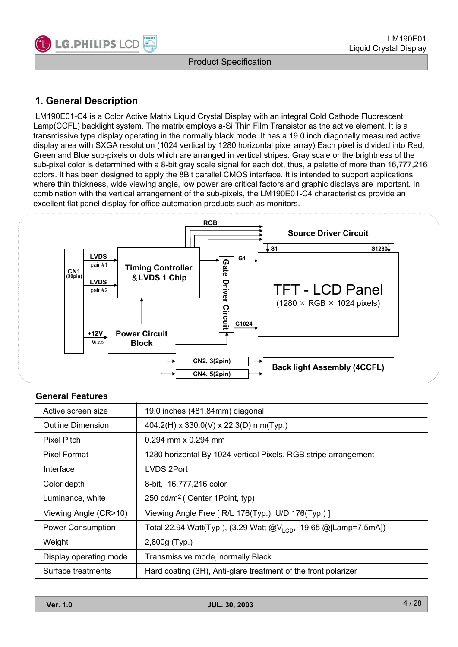

## **1. General Description**

LM190E01-C4 is a Color Active Matrix Liquid Crystal Display with an integral Cold Cathode Fluorescent Lamp(CCFL) backlight system. The matrix employs a-Si Thin Film Transistor as the active element. It is a transmissive type display operating in the normally black mode. It has a 19.0 inch diagonally measured active display area with SXGA resolution (1024 vertical by 1280 horizontal pixel array) Each pixel is divided into Red, Green and Blue sub-pixels or dots which are arranged in vertical stripes. Gray scale or the brightness of the sub-pixel color is determined with a 8-bit gray scale signal for each dot, thus, a palette of more than 16,777,216 colors. It has been designed to apply the 8Bit parallel CMOS interface. It is intended to support applications where thin thickness, wide viewing angle, low power are critical factors and graphic displays are important. In combination with the vertical arrangement of the sub-pixels, the LM190E01-C4 characteristics provide an excellent flat panel display for office automation products such as monitors.



### **General Features**

| Active screen size       | 19.0 inches (481.84mm) diagonal                                      |
|--------------------------|----------------------------------------------------------------------|
| Outline Dimension        | 404.2(H) x 330.0(V) x 22.3(D) mm(Typ.)                               |
| <b>Pixel Pitch</b>       | $0.294$ mm x 0.294 mm                                                |
| Pixel Format             | 1280 horizontal By 1024 vertical Pixels. RGB stripe arrangement      |
| Interface                | LVDS 2Port                                                           |
| Color depth              | 8-bit, 16,777,216 color                                              |
| Luminance, white         | 250 cd/m <sup>2</sup> ( Center 1Point, typ)                          |
| Viewing Angle (CR>10)    | Viewing Angle Free [ R/L 176(Typ.), U/D 176(Typ.) ]                  |
| <b>Power Consumption</b> | Total 22.94 Watt(Typ.), (3.29 Watt $@V_{1CD}$ , 19.65 @[Lamp=7.5mA]) |
| Weight                   | 2,800g (Typ.)                                                        |
| Display operating mode   | Transmissive mode, normally Black                                    |
| Surface treatments       | Hard coating (3H), Anti-glare treatment of the front polarizer       |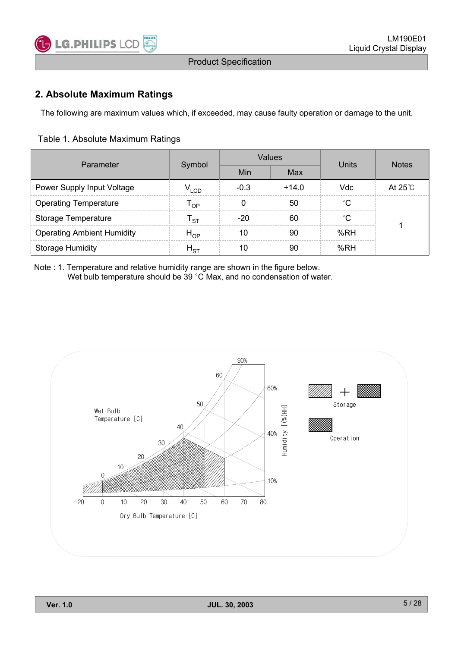

## **2. Absolute Maximum Ratings**

The following are maximum values which, if exceeded, may cause faulty operation or damage to the unit.

#### Table 1. Absolute Maximum Ratings

| Parameter                         |                  |        | Values  | Units | <b>Notes</b>    |
|-----------------------------------|------------------|--------|---------|-------|-----------------|
|                                   | Symbol           | Min    | Max     |       |                 |
| Power Supply Input Voltage        | V <sub>LCD</sub> | $-0.3$ | $+14.0$ | Vdc   | At $25^\circ$ C |
| <b>Operating Temperature</b>      | י P              |        | 50      | °C    |                 |
| Storage Temperature               | sт.              | $-20$  | 60      | °C    |                 |
| <b>Operating Ambient Humidity</b> | $H_{OP}$         | 10     | 90      | %RH   |                 |
| <b>Storage Humidity</b>           | $H_{\rm ST}$     | 10     | 90      | %RH   |                 |

Note : 1. Temperature and relative humidity range are shown in the figure below. Wet bulb temperature should be 39 °C Max, and no condensation of water.

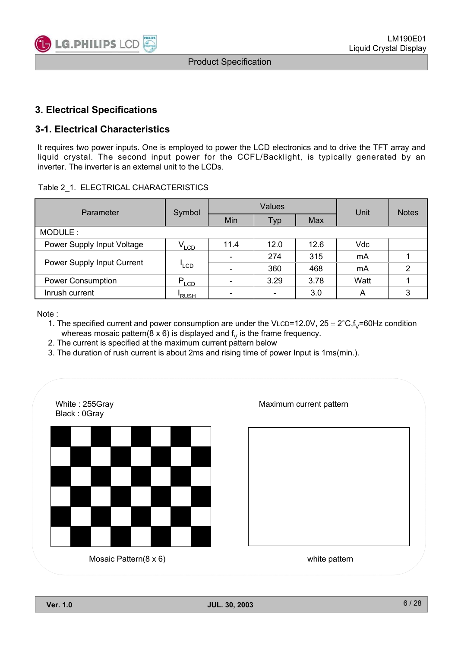

## **3. Electrical Specifications**

## **3-1. Electrical Characteristics**

It requires two power inputs. One is employed to power the LCD electronics and to drive the TFT array and liquid crystal. The second input power for the CCFL/Backlight, is typically generated by an inverter. The inverter is an external unit to the LCDs.

#### Table 2\_1. ELECTRICAL CHARACTERISTICS

| Parameter                  | Symbol           |                          | Values                   | Unit | <b>Notes</b> |                |
|----------------------------|------------------|--------------------------|--------------------------|------|--------------|----------------|
|                            |                  | Min                      | Typ                      | Max  |              |                |
| MODULE:                    |                  |                          |                          |      |              |                |
| Power Supply Input Voltage | $V_{LCD}$        | 11.4                     | 12.0                     | 12.6 | Vdc          |                |
|                            | <sup>'</sup> LCD | $\overline{\phantom{0}}$ | 274                      | 315  | mA           |                |
| Power Supply Input Current |                  | $\overline{\phantom{0}}$ | 360                      | 468  | mA           | $\overline{2}$ |
| <b>Power Consumption</b>   | $P_{LCD}$        | $\overline{\phantom{0}}$ | 3.29                     | 3.78 | Watt         |                |
| Inrush current             | <b>RUSH</b>      |                          | $\overline{\phantom{0}}$ | 3.0  | Α            | 3              |

Note :

1. The specified current and power consumption are under the VLCD=12.0V,  $25 \pm 2^{\circ}C$ ,  $f_V$ =60Hz condition whereas mosaic pattern( $8 \times 6$ ) is displayed and  $f<sub>V</sub>$  is the frame frequency.

- 2. The current is specified at the maximum current pattern below
- 3. The duration of rush current is about 2ms and rising time of power Input is 1ms(min.).

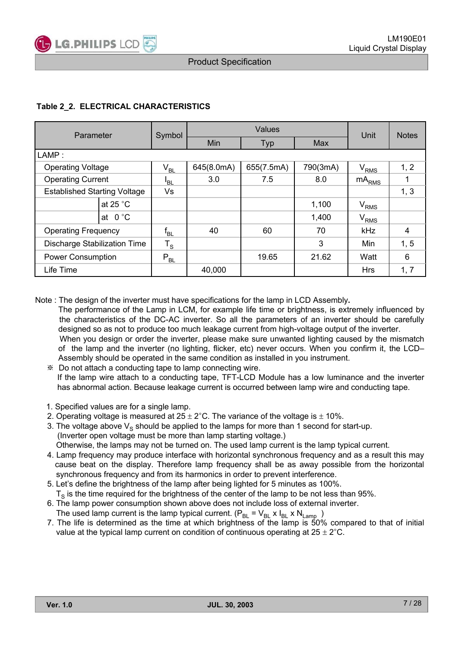

#### **Table 2\_2. ELECTRICAL CHARACTERISTICS**

| Parameter                           | Symbol          |            | Unit       | <b>Notes</b> |                   |      |
|-------------------------------------|-----------------|------------|------------|--------------|-------------------|------|
|                                     |                 | Min        | <b>Typ</b> | Max          |                   |      |
| LAMP:                               |                 |            |            |              |                   |      |
| <b>Operating Voltage</b>            | $\rm V_{BL}$    | 645(8.0mA) | 655(7.5mA) | 790(3mA)     | $\rm V_{RMS}$     | 1, 2 |
| <b>Operating Current</b>            | <sup>I</sup> BL | 3.0        | 7.5        | 8.0          | mA <sub>RMS</sub> |      |
| <b>Established Starting Voltage</b> | Vs              |            |            |              |                   | 1, 3 |
| at 25 $^{\circ}$ C                  |                 |            |            | 1,100        | $\rm V_{RMS}$     |      |
| at $0^{\circ}$ C                    |                 |            |            | 1,400        | $\rm V_{RMS}$     |      |
| <b>Operating Frequency</b>          | $f_{BL}$        | 40         | 60         | 70           | <b>kHz</b>        | 4    |
| <b>Discharge Stabilization Time</b> | $T_S$           |            |            | 3            | Min               | 1, 5 |
| Power Consumption                   | $P_{BL}$        |            | 19.65      | 21.62        | Watt              | 6    |
| Life Time                           |                 | 40,000     |            |              | <b>Hrs</b>        | 1, 7 |

Note : The design of the inverter must have specifications for the lamp in LCD Assembly**.**

- The performance of the Lamp in LCM, for example life time or brightness, is extremely influenced by the characteristics of the DC-AC inverter. So all the parameters of an inverter should be carefully designed so as not to produce too much leakage current from high-voltage output of the inverter. When you design or order the inverter, please make sure unwanted lighting caused by the mismatch of the lamp and the inverter (no lighting, flicker, etc) never occurs. When you confirm it, the LCD– Assembly should be operated in the same condition as installed in you instrument.
	- Do not attach a conducting tape to lamp connecting wire. If the lamp wire attach to a conducting tape, TFT-LCD Module has a low luminance and the inverter has abnormal action. Because leakage current is occurred between lamp wire and conducting tape.
	- 1. Specified values are for a single lamp.
	- 2. Operating voltage is measured at  $25 \pm 2^{\circ}$ C. The variance of the voltage is  $\pm$  10%.
	- 3. The voltage above  $V_s$  should be applied to the lamps for more than 1 second for start-up. (Inverter open voltage must be more than lamp starting voltage.) Otherwise, the lamps may not be turned on. The used lamp current is the lamp typical current.
	- 4. Lamp frequency may produce interface with horizontal synchronous frequency and as a result this may cause beat on the display. Therefore lamp frequency shall be as away possible from the horizontal
	- synchronous frequency and from its harmonics in order to prevent interference.
	- 5. Let's define the brightness of the lamp after being lighted for 5 minutes as 100%.  $T<sub>s</sub>$  is the time required for the brightness of the center of the lamp to be not less than 95%.
	- 6. The lamp power consumption shown above does not include loss of external inverter. The used lamp current is the lamp typical current.  $(P_{BL} = V_{BL} \times I_{BL} \times N_{Lamp}$ )
	- 7. The life is determined as the time at which brightness of the lamp is 50% compared to that of initial value at the typical lamp current on condition of continuous operating at  $25 \pm 2^{\circ}$ C.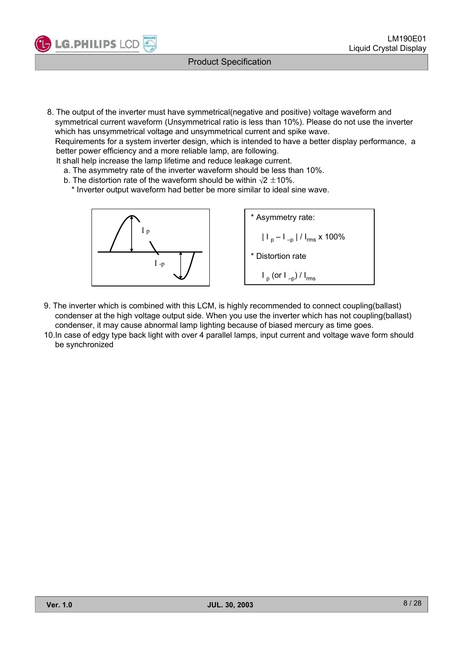

8. The output of the inverter must have symmetrical(negative and positive) voltage waveform and symmetrical current waveform (Unsymmetrical ratio is less than 10%). Please do not use the inverter which has unsymmetrical voltage and unsymmetrical current and spike wave.

Requirements for a system inverter design, which is intended to have a better display performance, a better power efficiency and a more reliable lamp, are following.

- It shall help increase the lamp lifetime and reduce leakage current.
	- a. The asymmetry rate of the inverter waveform should be less than 10%.
	- b. The distortion rate of the waveform should be within  $\sqrt{2} \pm 10\%$ .
		- \* Inverter output waveform had better be more similar to ideal sine wave.



\* Asymmetry rate:  
\n
$$
|I_{p} - I_{-p}| / I_{rms} \times 100\%
$$
\n\* Distortion rate  
\n
$$
I_{p} (or I_{-p}) / I_{rms}
$$

- 9. The inverter which is combined with this LCM, is highly recommended to connect coupling(ballast) condenser at the high voltage output side. When you use the inverter which has not coupling(ballast) condenser, it may cause abnormal lamp lighting because of biased mercury as time goes.
- 10.In case of edgy type back light with over 4 parallel lamps, input current and voltage wave form should be synchronized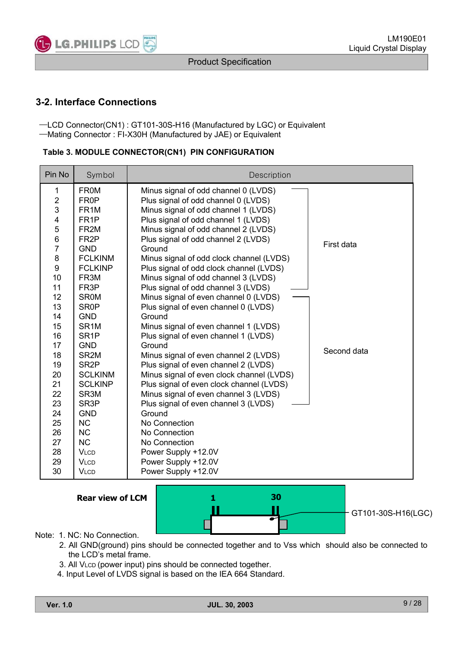

## **3-2. Interface Connections**

-LCD Connector(CN1) : GT101-30S-H16 (Manufactured by LGC) or Equivalent ᆛMating Connector : FI-X30H (Manufactured by JAE) or Equivalent

| Table 3. MODULE CONNECTOR(CN1) PIN CONFIGURATION |
|--------------------------------------------------|
|--------------------------------------------------|

| Pin No                  | Symbol            | Description                               |             |
|-------------------------|-------------------|-------------------------------------------|-------------|
| 1                       | <b>FROM</b>       | Minus signal of odd channel 0 (LVDS)      |             |
| $\overline{2}$          | FR <sub>0</sub> P | Plus signal of odd channel 0 (LVDS)       |             |
| 3                       | FR <sub>1</sub> M | Minus signal of odd channel 1 (LVDS)      |             |
| $\overline{\mathbf{4}}$ | FR <sub>1</sub> P | Plus signal of odd channel 1 (LVDS)       |             |
| 5                       | FR <sub>2M</sub>  | Minus signal of odd channel 2 (LVDS)      |             |
| 6                       | FR <sub>2</sub> P | Plus signal of odd channel 2 (LVDS)       | First data  |
| $\overline{7}$          | <b>GND</b>        | Ground                                    |             |
| 8                       | <b>FCLKINM</b>    | Minus signal of odd clock channel (LVDS)  |             |
| 9                       | <b>FCLKINP</b>    | Plus signal of odd clock channel (LVDS)   |             |
| 10                      | FR <sub>3</sub> M | Minus signal of odd channel 3 (LVDS)      |             |
| 11                      | FR <sub>3</sub> P | Plus signal of odd channel 3 (LVDS)       |             |
| 12                      | <b>SROM</b>       | Minus signal of even channel 0 (LVDS)     |             |
| 13                      | <b>SR0P</b>       | Plus signal of even channel 0 (LVDS)      |             |
| 14                      | <b>GND</b>        | Ground                                    |             |
| 15                      | SR <sub>1</sub> M | Minus signal of even channel 1 (LVDS)     |             |
| 16                      | SR <sub>1</sub> P | Plus signal of even channel 1 (LVDS)      |             |
| 17                      | <b>GND</b>        | Ground                                    | Second data |
| 18                      | SR <sub>2M</sub>  | Minus signal of even channel 2 (LVDS)     |             |
| 19                      | SR <sub>2</sub> P | Plus signal of even channel 2 (LVDS)      |             |
| 20                      | <b>SCLKINM</b>    | Minus signal of even clock channel (LVDS) |             |
| 21                      | <b>SCLKINP</b>    | Plus signal of even clock channel (LVDS)  |             |
| 22                      | SR <sub>3</sub> M | Minus signal of even channel 3 (LVDS)     |             |
| 23                      | SR <sub>3</sub> P | Plus signal of even channel 3 (LVDS)      |             |
| 24                      | <b>GND</b>        | Ground                                    |             |
| 25                      | <b>NC</b>         | No Connection                             |             |
| 26                      | <b>NC</b>         | No Connection                             |             |
| 27                      | <b>NC</b>         | No Connection                             |             |
| 28                      | <b>VLCD</b>       | Power Supply +12.0V                       |             |
| 29                      | <b>VLCD</b>       | Power Supply +12.0V                       |             |
| 30                      | <b>VLCD</b>       | Power Supply +12.0V                       |             |

**Rear view of LCM**



Note: 1. NC: No Connection.

- 2. All GND(ground) pins should be connected together and to Vss which should also be connected to the LCD's metal frame.
- 3. All VLCD (power input) pins should be connected together.
- 4. Input Level of LVDS signal is based on the IEA 664 Standard.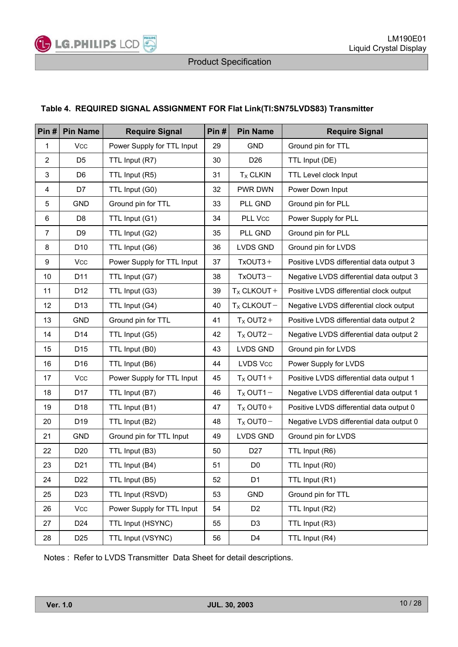

#### **Table 4. REQUIRED SIGNAL ASSIGNMENT FOR Flat Link(TI:SN75LVDS83) Transmitter**

| Pin#                      | <b>Pin Name</b> | <b>Require Signal</b>      | Pin# | <b>Pin Name</b>      | <b>Require Signal</b>                    |
|---------------------------|-----------------|----------------------------|------|----------------------|------------------------------------------|
| $\mathbf{1}$              | <b>Vcc</b>      | Power Supply for TTL Input | 29   | <b>GND</b>           | Ground pin for TTL                       |
| $\overline{2}$            | D <sub>5</sub>  | TTL Input (R7)             | 30   | D <sub>26</sub>      | TTL Input (DE)                           |
| $\ensuremath{\mathsf{3}}$ | D <sub>6</sub>  | TTL Input (R5)             | 31   | $TX$ CLKIN           | TTL Level clock Input                    |
| 4                         | D7              | TTL Input (G0)             | 32   | PWR DWN              | Power Down Input                         |
| 5                         | GND             | Ground pin for TTL         | 33   | PLL GND              | Ground pin for PLL                       |
| 6                         | D <sub>8</sub>  | TTL Input (G1)             | 34   | PLL Vcc              | Power Supply for PLL                     |
| $\boldsymbol{7}$          | D <sub>9</sub>  | TTL Input (G2)             | 35   | PLL GND              | Ground pin for PLL                       |
| 8                         | D <sub>10</sub> | TTL Input (G6)             | 36   | <b>LVDS GND</b>      | Ground pin for LVDS                      |
| 9                         | Vcc             | Power Supply for TTL Input | 37   | $TxOUT3 +$           | Positive LVDS differential data output 3 |
| 10                        | D11             | TTL Input (G7)             | 38   | $TxOUT3-$            | Negative LVDS differential data output 3 |
| 11                        | D12             | TTL Input (G3)             | 39   | $T_X$ CLKOUT +       | Positive LVDS differential clock output  |
| 12                        | D <sub>13</sub> | TTL Input (G4)             | 40   | $T_X$ CLKOUT -       | Negative LVDS differential clock output  |
| 13                        | GND             | Ground pin for TTL         | 41   | $T_X$ OUT2+          | Positive LVDS differential data output 2 |
| 14                        | D14             | TTL Input (G5)             | 42   | $T_{\rm X}$ OUT2 $-$ | Negative LVDS differential data output 2 |
| 15                        | D15             | TTL Input (B0)             | 43   | LVDS GND             | Ground pin for LVDS                      |
| 16                        | D16             | TTL Input (B6)             | 44   | LVDS Vcc             | Power Supply for LVDS                    |
| 17                        | Vcc             | Power Supply for TTL Input | 45   | $T_X$ OUT1+          | Positive LVDS differential data output 1 |
| 18                        | D17             | TTL Input (B7)             | 46   | $T_X$ OUT1 $-$       | Negative LVDS differential data output 1 |
| 19                        | D18             | TTL Input (B1)             | 47   | $T_X$ OUT0+          | Positive LVDS differential data output 0 |
| 20                        | D19             | TTL Input (B2)             | 48   | $T_X$ OUT0-          | Negative LVDS differential data output 0 |
| 21                        | GND             | Ground pin for TTL Input   | 49   | <b>LVDS GND</b>      | Ground pin for LVDS                      |
| 22                        | D20             | TTL Input (B3)             | 50   | D <sub>27</sub>      | TTL Input (R6)                           |
| 23                        | D21             | TTL Input (B4)             | 51   | D <sub>0</sub>       | TTL Input (R0)                           |
| 24                        | D <sub>22</sub> | TTL Input (B5)             | 52   | D <sub>1</sub>       | TTL Input (R1)                           |
| 25                        | D <sub>23</sub> | TTL Input (RSVD)           | 53   | <b>GND</b>           | Ground pin for TTL                       |
| 26                        | <b>Vcc</b>      | Power Supply for TTL Input | 54   | D <sub>2</sub>       | TTL Input (R2)                           |
| 27                        | D24             | TTL Input (HSYNC)          | 55   | D <sub>3</sub>       | TTL Input (R3)                           |
| 28                        | D <sub>25</sub> | TTL Input (VSYNC)          | 56   | D4                   | TTL Input (R4)                           |

Notes : Refer to LVDS Transmitter Data Sheet for detail descriptions.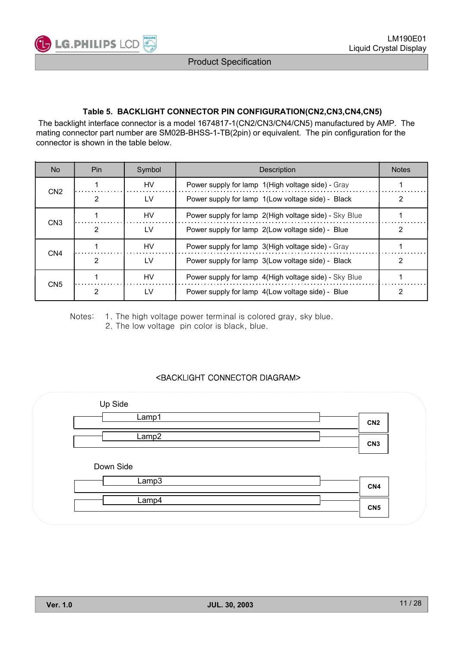

#### **Table 5. BACKLIGHT CONNECTOR PIN CONFIGURATION(CN2,CN3,CN4,CN5)**

The backlight interface connector is a model 1674817-1(CN2/CN3/CN4/CN5) manufactured by AMP. The mating connector part number are SM02B-BHSS-1-TB(2pin) or equivalent. The pin configuration for the connector is shown in the table below.

| No.             | Pin. | Symbol    | Description                                           | <b>Notes</b> |
|-----------------|------|-----------|-------------------------------------------------------|--------------|
| CN <sub>2</sub> |      | HV        | Power supply for lamp 1(High voltage side) - Gray     |              |
|                 |      | LV        | Power supply for lamp 1(Low voltage side) - Black     | 2            |
|                 |      | <b>HV</b> | Power supply for lamp 2(High voltage side) - Sky Blue |              |
| CN <sub>3</sub> | 2    | LV        | Power supply for lamp 2(Low voltage side) - Blue      |              |
|                 |      | <b>HV</b> | Power supply for lamp 3(High voltage side) - Gray     |              |
| CN <sub>4</sub> |      | LV        | Power supply for lamp 3(Low voltage side) - Black     |              |
| CN <sub>5</sub> |      | HV        | Power supply for lamp 4(High voltage side) - Sky Blue |              |
|                 |      | LV        | Power supply for lamp 4(Low voltage side) - Blue      |              |

Notes: 1. The high voltage power terminal is colored gray, sky blue. 2. The low voltage pin color is black, blue.

#### <BACKLIGHT CONNECTOR DIAGRAM>

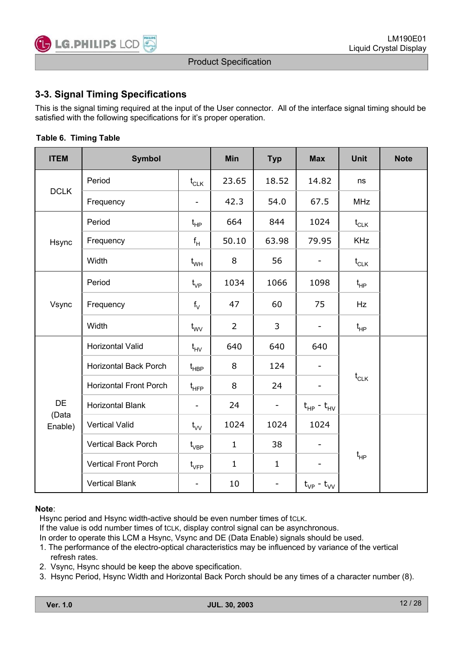

## **3-3. Signal Timing Specifications**

This is the signal timing required at the input of the User connector. All of the interface signal timing should be satisfied with the following specifications for it's proper operation.

| <b>ITEM</b>      | <b>Symbol</b>                 |                                                 | Min            | <b>Typ</b>               | <b>Max</b>                   | <b>Unit</b>                                     | <b>Note</b> |
|------------------|-------------------------------|-------------------------------------------------|----------------|--------------------------|------------------------------|-------------------------------------------------|-------------|
|                  | Period                        | $\mathfrak{t}_{\texttt{CLK}}$                   | 23.65          | 18.52                    | 14.82                        | ns                                              |             |
| <b>DCLK</b>      | Frequency                     |                                                 | 42.3           | 54.0                     | 67.5                         | <b>MHz</b>                                      |             |
|                  | Period                        | $t_{HP}$                                        | 664            | 844                      | 1024                         | $t_{CLK}$                                       |             |
| Hsync            | Frequency                     | $f_H$                                           | 50.10          | 63.98                    | 79.95                        | <b>KHz</b>                                      |             |
|                  | Width                         | $t_{WH}$                                        | 8              | 56                       | $\qquad \qquad \blacksquare$ | $\mathfrak{t}_{\scriptscriptstyle{\text{CLK}}}$ |             |
|                  | Period                        | $t_{VP}$                                        | 1034           | 1066                     | 1098                         | $t_{HP}$                                        |             |
| Vsync            | Frequency                     | $f_V$                                           | 47             | 60                       | 75                           | Hz                                              |             |
|                  | Width                         | $t_{\text{wV}}$                                 | $\overline{2}$ | 3                        | $\qquad \qquad -$            | $t_{HP}$                                        |             |
|                  | Horizontal Valid              | $t_{HV}$                                        | 640            | 640                      | 640                          |                                                 |             |
|                  | <b>Horizontal Back Porch</b>  | $\mathfrak{t}_{\mathsf{H}\mathsf{B}\mathsf{P}}$ | 8              | 124                      |                              |                                                 |             |
|                  | <b>Horizontal Front Porch</b> | $\mathfrak{t}_{\mathsf{H}\mathsf{FP}}$          | 8              | 24                       |                              | $t_{CLK}$                                       |             |
| <b>DE</b>        | <b>Horizontal Blank</b>       | $\blacksquare$                                  | 24             | -                        | $t_{HP} - t_{HV}$            |                                                 |             |
| (Data<br>Enable) | <b>Vertical Valid</b>         | $t_{VV}$                                        | 1024           | 1024                     | 1024                         |                                                 |             |
|                  | <b>Vertical Back Porch</b>    | $\mathfrak{t}_{\mathsf{VBP}}$                   | $\mathbf{1}$   | 38                       | -                            |                                                 |             |
|                  | <b>Vertical Front Porch</b>   | $t_{\scriptscriptstyle\rm VFP}$                 | $\mathbf{1}$   | $\mathbf{1}$             |                              | $t_{HP}$                                        |             |
|                  | <b>Vertical Blank</b>         |                                                 | 10             | $\overline{\phantom{a}}$ | $t_{VP}$ - $t_{VV}$          |                                                 |             |

#### **Table 6. Timing Table**

#### **Note**:

Hsync period and Hsync width-active should be even number times of tcLK.

If the value is odd number times of tcLK, display control signal can be asynchronous.

In order to operate this LCM a Hsync, Vsync and DE (Data Enable) signals should be used.

- 1. The performance of the electro-optical characteristics may be influenced by variance of the vertical refresh rates.
- 2. Vsync, Hsync should be keep the above specification.
- 3. Hsync Period, Hsync Width and Horizontal Back Porch should be any times of a character number (8).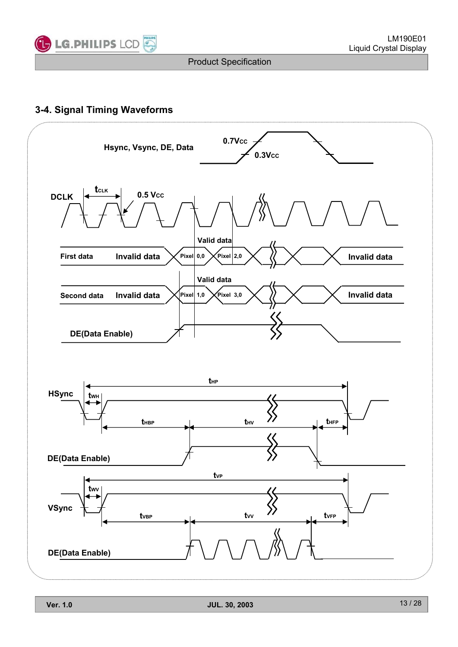

## **3-4. Signal Timing Waveforms**

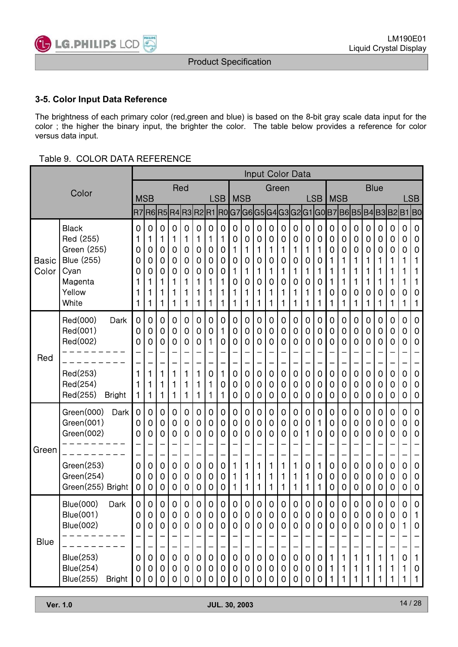

### **3-5. Color Input Data Reference**

The brightness of each primary color (red,green and blue) is based on the 8-bit gray scale data input for the color ; the higher the binary input, the brighter the color. The table below provides a reference for color versus data input.

#### Table 9. COLOR DATA REFERENCE

|                       |                                                                                                                                               |                                                                    |                                      |                                      |                                              |                                                |                                      |                                                          |                                                |                                                               |                                                        |                                                |                                                               | <b>Input Color Data</b>              |                                      |                                              |                                                   |                                                          |                                                                                        |                                                                                |                                      |                                      |                                       |                                      |                                                |
|-----------------------|-----------------------------------------------------------------------------------------------------------------------------------------------|--------------------------------------------------------------------|--------------------------------------|--------------------------------------|----------------------------------------------|------------------------------------------------|--------------------------------------|----------------------------------------------------------|------------------------------------------------|---------------------------------------------------------------|--------------------------------------------------------|------------------------------------------------|---------------------------------------------------------------|--------------------------------------|--------------------------------------|----------------------------------------------|---------------------------------------------------|----------------------------------------------------------|----------------------------------------------------------------------------------------|--------------------------------------------------------------------------------|--------------------------------------|--------------------------------------|---------------------------------------|--------------------------------------|------------------------------------------------|
|                       | Color                                                                                                                                         |                                                                    |                                      |                                      | Red                                          |                                                |                                      |                                                          |                                                |                                                               |                                                        |                                                |                                                               | Green                                |                                      |                                              |                                                   |                                                          |                                                                                        |                                                                                | <b>Blue</b>                          |                                      |                                       |                                      |                                                |
|                       |                                                                                                                                               | <b>MSB</b>                                                         |                                      |                                      |                                              |                                                |                                      |                                                          | <b>LSB</b>                                     | <b>MSB</b>                                                    |                                                        |                                                |                                                               |                                      |                                      |                                              | <b>LSB</b>                                        | <b>MSB</b>                                               |                                                                                        |                                                                                |                                      |                                      |                                       |                                      | LSB                                            |
|                       |                                                                                                                                               |                                                                    |                                      |                                      |                                              |                                                |                                      |                                                          |                                                |                                                               |                                                        |                                                |                                                               |                                      |                                      |                                              |                                                   |                                                          |                                                                                        | R7  R6  R5  R4  R3  R2  R1  R0  G7  G6  G5  G4  G3  G2  G1  G0  B7  B6  B5  B4 |                                      |                                      | B3B2B1B0                              |                                      |                                                |
| <b>Basic</b><br>Color | <b>Black</b><br>Red (255)<br>Green (255)<br><b>Blue (255)</b><br>Cyan<br>Magenta<br>Yellow<br>White                                           | 0<br>1<br>0<br>0<br>O<br>1                                         | 0<br>1<br>0<br>0<br>0<br>1<br>1      | 0<br>1<br>0<br>0<br>0<br>1<br>1<br>1 | 0<br>1<br>0<br>0<br>0<br>1<br>1<br>1         | 0<br>1<br>0<br>0<br>0<br>1<br>1<br>1           | 0<br>1<br>0<br>0<br>0<br>1<br>1<br>1 | $\mathbf 0$<br>1<br>0<br>$\mathbf 0$<br>0<br>1<br>1<br>1 | $\mathbf 0$<br>1<br>0<br>0<br>0<br>1<br>1<br>1 | $\mathbf 0$<br>0<br>1<br>0<br>1<br>0<br>1<br>1                | $\mathbf 0$<br>0<br>1<br>0<br>1<br>0<br>1<br>1         | 0<br>0<br>1<br>0<br>1<br>0<br>1<br>1           | $\mathbf 0$<br>$\mathbf 0$<br>1<br>0<br>1<br>0<br>1<br>1      | 0<br>0<br>1<br>0<br>1<br>0<br>1<br>1 | 0<br>0<br>1<br>0<br>1<br>0<br>1<br>1 | 0<br>0<br>1<br>0<br>1<br>0<br>1<br>1         | 0<br>0<br>1<br>0<br>1<br>0<br>1<br>1              | $\mathbf 0$<br>0<br>0<br>1<br>1<br>1<br>0<br>1           | $\mathbf 0$<br>$\mathbf 0$<br>$\mathbf 0$<br>1<br>1<br>1<br>0<br>1                     | 0<br>0<br>0<br>1<br>1<br>1<br>0<br>1                                           | 0<br>0<br>0<br>1<br>1<br>1<br>0<br>1 | 0<br>0<br>0<br>1<br>1<br>1<br>0<br>1 | 0<br>0<br>0<br>1<br>1<br>1<br>0<br>1  | 0<br>0<br>0<br>1<br>1<br>1<br>0<br>1 | 0<br>0<br>0<br>1<br>1<br>0<br>1                |
| Red                   | Red(000)<br>Dark<br>Red(001)<br>Red(002)<br>Red(253)<br>Red(254)<br>Red(255)<br><b>Bright</b>                                                 | 0<br>0<br>0<br>1<br>1<br>1                                         | 0<br>0<br>0<br>1<br>1<br>1           | 0<br>0<br>0<br>1<br>1<br>1           | 0<br>0<br>0<br>1<br>1<br>1                   | 0<br>0<br>0<br>1<br>1<br>1                     | 0<br>0<br>0<br>1<br>1<br>1           | $\mathbf 0$<br>$\mathbf 0$<br>1<br>0<br>1<br>1           | 0<br>1<br>0<br>1<br>0<br>1                     | 0<br>0<br>0<br>$\mathbf 0$<br>0<br>0                          | 0<br>0<br>0<br>0<br>0<br>$\mathbf 0$                   | 0<br>0<br>0<br>$\mathbf 0$<br>0<br>0           | 0<br>0<br>0<br>0<br>0<br>$\mathbf 0$                          | 0<br>0<br>0<br>0<br>0<br>0           | 0<br>0<br>0<br>$\mathbf 0$<br>0<br>0 | 0<br>0<br>0<br>$\mathbf 0$<br>0<br>0         | 0<br>0<br>0<br>0<br>0<br>0                        | $\mathbf 0$<br>0<br>0<br>$\mathbf 0$<br>0<br>$\mathbf 0$ | $\mathbf 0$<br>$\mathbf 0$<br>$\mathbf 0$<br>$\mathbf 0$<br>$\mathbf 0$<br>$\mathbf 0$ | 0<br>0<br>0<br>0<br>0<br>0                                                     | 0<br>0<br>0<br>0<br>0<br>0           | 0<br>0<br>0<br>0<br>0<br>0           | 0<br>0<br>0<br>0<br>0<br>0            | 0<br>0<br>0<br>0<br>0<br>0           | 0<br>0<br>0<br>$\mathbf 0$<br>0<br>$\mathbf 0$ |
| Green                 | Green(000)<br>Dark<br>Green(001)<br>Green(002)<br>Green(253)<br>Green(254)<br>Green(255) Bright                                               | $\mathbf 0$<br>0<br>0<br>0<br>0<br>$\mathbf 0$                     | 0<br>0<br>0<br>0<br>0<br>0           | 0<br>0<br>0<br>0<br>0<br>0           | 0<br>0<br>0<br>0<br>0<br>0                   | 0<br>0<br>0<br>0<br>0<br>0                     | 0<br>0<br>0<br>0<br>0<br>0           | $\mathbf 0$<br>0<br>$\mathbf 0$<br>0<br>0<br>$\mathbf 0$ | 0<br>0<br>0<br>$\mathbf 0$<br>0<br>$\mathbf 0$ | 0<br>0<br>0<br>1<br>1                                         | 0<br>0<br>0<br>1<br>1<br>1                             | 0<br>0<br>0<br>1<br>1<br>1                     | 0<br>0<br>0<br>1<br>1<br>1                                    | 0<br>0<br>0<br>1<br>1<br>1           | 0<br>0<br>0<br>1<br>1<br>1           | 0<br>0<br>1<br>0<br>1<br>1                   | 0<br>1<br>0<br>1<br>0<br>1                        | $\mathbf 0$<br>0<br>0<br>$\mathbf 0$<br>0<br>$\mathbf 0$ | $\mathbf 0$<br>$\mathbf 0$<br>$\mathbf 0$<br>$\mathbf 0$<br>$\mathbf 0$<br>$\mathbf 0$ | 0<br>0<br>0<br>0<br>0<br>0                                                     | 0<br>0<br>0<br>0<br>0<br>0           | 0<br>0<br>0<br>0<br>0<br>$\mathbf 0$ | 0<br>0<br>0<br>0<br>0<br>0            | 0<br>0<br>0<br>0<br>0<br>0           | 0<br>0<br>0<br>$\mathbf 0$<br>0<br>$\mathbf 0$ |
| <b>Blue</b>           | <b>Blue(000)</b><br>Dark<br><b>Blue(001)</b><br><b>Blue(002)</b><br><b>Blue(253)</b><br><b>Blue(254)</b><br><b>Blue(255)</b><br><b>Bright</b> | 0<br>$\mathbf 0$<br>0<br>$\mathbf 0$<br>$\mathbf 0$<br>$\mathbf 0$ | 0<br>0<br>0<br>0<br>$\mathbf 0$<br>0 | 0<br>0<br>0<br>0<br>0<br>0           | 0<br>0<br>0<br>$\mathbf 0$<br>$\pmb{0}$<br>0 | 0<br>0<br>0<br>$\mathbf 0$<br>$\mathbf 0$<br>0 | 0<br>0<br>0<br>0<br>0<br>0           | 0<br>$\mathbf 0$<br>0<br>$\mathbf 0$<br>0<br>$\mathbf 0$ | 0<br>0<br>0<br>$\mathbf 0$<br>0<br>$\mathbf 0$ | 0<br>0<br>0<br>$\mathbf 0$<br>$\mathbf 0$<br>$\boldsymbol{0}$ | 0<br>0<br>0<br>$\pmb{0}$<br>$\mathbf 0$<br>$\mathbf 0$ | 0<br>0<br>0<br>$\mathbf 0$<br>$\mathbf 0$<br>0 | 0<br>0<br>0<br>$\mathbf 0$<br>$\boldsymbol{0}$<br>$\mathbf 0$ | 0<br>0<br>0<br>0<br>0<br>0           | 0<br>0<br>0<br>$\pmb{0}$<br>0<br>0   | 0<br>0<br>0<br>$\pmb{0}$<br>0<br>$\mathbf 0$ | 0<br>0<br>0<br>$\overline{0}$<br>$\mathbf 0$<br>0 | 0<br>0<br>0<br>$\mathbf{1}$<br>$\mathbf{1}$<br>1         | 0<br>$\mathbf 0$<br>0<br>1<br>1<br>1                                                   | 0<br>0<br>0<br>1<br>1<br>1                                                     | 0<br>0<br>0<br>1<br>1<br>1           | 0<br>0<br>0<br>1<br>1<br>1           | 0<br>0<br>0<br>$\mathbf{1}$<br>1<br>1 | 0<br>0<br>0<br>1<br>1                | 0<br>1<br>0<br>1<br>0<br>$\mathbf{1}$          |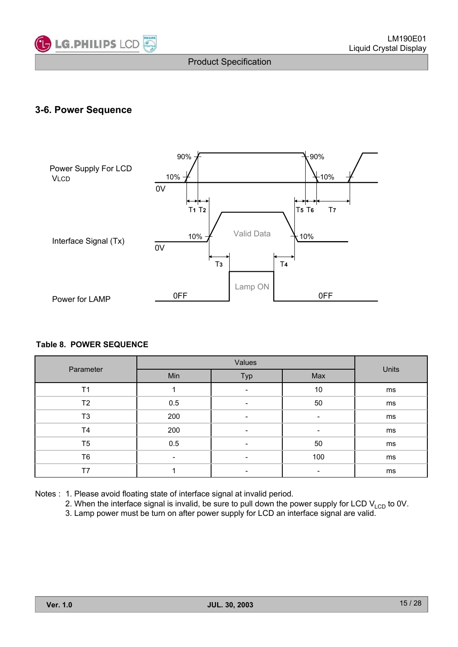

## **3-6. Power Sequence**



#### **Table 8. POWER SEQUENCE**

| Parameter      | Min                      | Typ | Max | Units |
|----------------|--------------------------|-----|-----|-------|
| T <sub>1</sub> |                          | -   | 10  | ms    |
| T2             | 0.5                      | -   | 50  | ms    |
| T <sub>3</sub> | 200                      |     |     | ms    |
| T <sub>4</sub> | 200                      |     |     | ms    |
| T <sub>5</sub> | 0.5                      |     | 50  | ms    |
| T <sub>6</sub> | $\overline{\phantom{a}}$ |     | 100 | ms    |
| T7             |                          |     |     | ms    |

Notes : 1. Please avoid floating state of interface signal at invalid period.

2. When the interface signal is invalid, be sure to pull down the power supply for LCD  $V_{\text{LCD}}$  to 0V.

3. Lamp power must be turn on after power supply for LCD an interface signal are valid.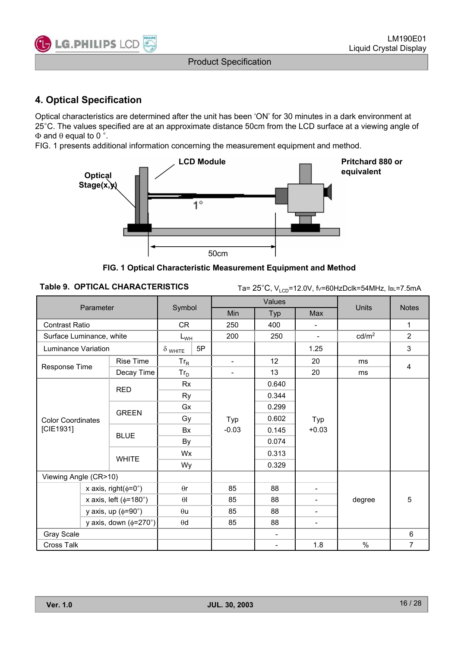

## **4. Optical Specification**

Optical characteristics are determined after the unit has been 'ON' for 30 minutes in a dark environment at 25°C. The values specified are at an approximate distance 50cm from the LCD surface at a viewing angle of  $\Phi$  and  $\theta$  equal to 0 °.

FIG. 1 presents additional information concerning the measurement equipment and method.



**FIG. 1 Optical Characteristic Measurement Equipment and Method**

Table 9. OPTICAL CHARACTERISTICS Ta= 25°C, V<sub>LCD</sub>=12.0V, fv=60HzDclk=54MHz, IBL=7.5mA

|                                   |                                |                      |                | Values                   |                          |                   |                |
|-----------------------------------|--------------------------------|----------------------|----------------|--------------------------|--------------------------|-------------------|----------------|
| Parameter                         |                                | Symbol               | Min            | Typ                      | Max                      | <b>Units</b>      | <b>Notes</b>   |
| <b>Contrast Ratio</b>             |                                | <b>CR</b>            | 250            | 400                      | $\overline{\phantom{a}}$ |                   | 1              |
| Surface Luminance, white          |                                | $L_{WH}$             | 200            | 250                      | $\overline{\phantom{a}}$ | cd/m <sup>2</sup> | $\overline{2}$ |
| Luminance Variation               |                                | 5P<br>$\delta$ white |                |                          | 1.25                     |                   | 3              |
|                                   | Rise Time                      | $Tr_R$               | $\sim$         | 12                       | 20                       | ms                |                |
| Response Time                     | Decay Time                     | $Tr_D$               | $\overline{a}$ | 13                       | 20                       | ms                | 4              |
|                                   | <b>RED</b>                     | Rx                   |                | 0.640                    |                          |                   |                |
|                                   |                                | <b>Ry</b>            |                | 0.344                    |                          |                   |                |
|                                   |                                | Gx                   |                | 0.299                    | Typ                      |                   |                |
| <b>Color Coordinates</b>          | <b>GREEN</b>                   | Gy                   | Typ            | 0.602                    |                          |                   |                |
| [CIE1931]                         | <b>BLUE</b>                    | Bx                   | $-0.03$        | 0.145                    | $+0.03$                  |                   |                |
|                                   |                                | By                   |                | 0.074                    |                          |                   |                |
|                                   | <b>WHITE</b>                   | <b>Wx</b>            |                | 0.313                    |                          |                   |                |
|                                   |                                | Wy                   |                | 0.329                    |                          |                   |                |
| Viewing Angle (CR>10)             |                                |                      |                |                          |                          |                   |                |
|                                   | x axis, right( $\phi$ =0°)     | $\theta$ r           | 85             | 88                       | $\overline{a}$           |                   |                |
|                                   | x axis, left ( $\phi$ =180°)   | $\theta$             | 85             | 88                       | Ξ.                       | degree            | 5              |
|                                   | y axis, up $(\phi = 90^\circ)$ | $\theta$ u           | 85             | 88                       | $\overline{\phantom{0}}$ |                   |                |
| y axis, down $(\phi = 270^\circ)$ |                                | $\theta\texttt{d}$   | 85             | 88                       | -                        |                   |                |
| Gray Scale                        |                                |                      |                | $\overline{\phantom{a}}$ |                          |                   | 6              |
| Cross Talk                        |                                |                      |                | $\overline{\phantom{a}}$ | 1.8                      | $\%$              | 7              |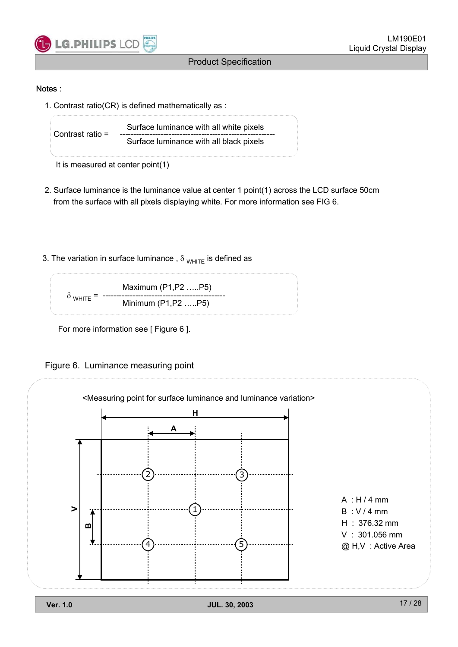

#### Notes :

1. Contrast ratio(CR) is defined mathematically as :

Surface luminance with all white pixels Contrast ratio = --------------------------------------------------------- Surface luminance with all black pixels

It is measured at center point(1)

- 2. Surface luminance is the luminance value at center 1 point(1) across the LCD surface 50cm from the surface with all pixels displaying white. For more information see FIG 6.
- 3. The variation in surface luminance,  $\delta_{WHTE}$  is defined as



For more information see [ Figure 6 ].

Figure 6. Luminance measuring point

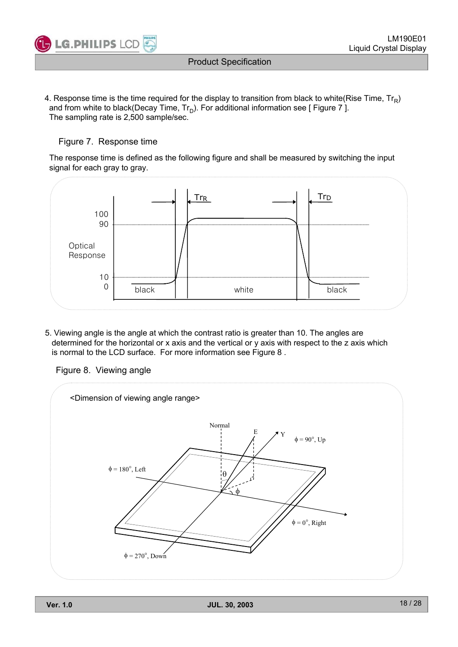

4. Response time is the time required for the display to transition from black to white(Rise Time,  $Tr_{\rm D}$ ) and from white to black(Decay Time,  $Tr_D$ ). For additional information see [ Figure 7 ]. The sampling rate is 2,500 sample/sec.

#### Figure 7. Response time

The response time is defined as the following figure and shall be measured by switching the input signal for each gray to gray.



5. Viewing angle is the angle at which the contrast ratio is greater than 10. The angles are determined for the horizontal or x axis and the vertical or y axis with respect to the z axis which is normal to the LCD surface. For more information see Figure 8 .

Figure 8. Viewing angle

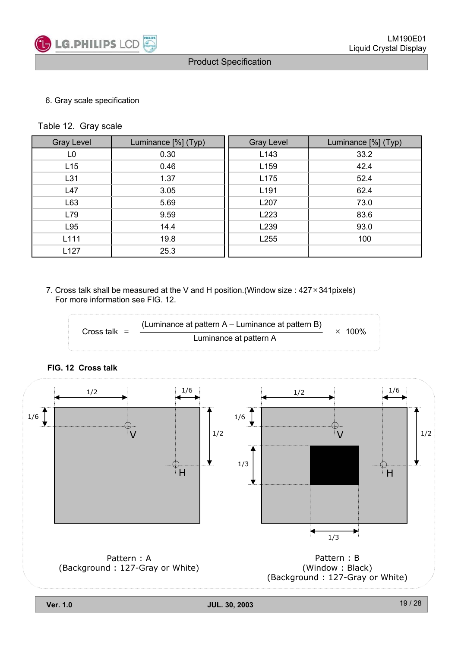

#### 6. Gray scale specification

Table 12. Gray scale

| <b>Gray Level</b> | Luminance [%] (Typ) | <b>Gray Level</b> | Luminance [%] (Typ) |
|-------------------|---------------------|-------------------|---------------------|
| L0                | 0.30                | L143              | 33.2                |
| L15               | 0.46                | L159              | 42.4                |
| L31               | 1.37                | L175              | 52.4                |
| L47               | 3.05                | L <sub>191</sub>  | 62.4                |
| L63               | 5.69                | L207              | 73.0                |
| L79               | 9.59                | L223              | 83.6                |
| L95               | 14.4                | L239              | 93.0                |
| L111              | 19.8                | L255              | 100                 |
| L127              | 25.3                |                   |                     |

7. Cross talk shall be measured at the V and H position. (Window size :  $427 \times 341$ pixels) For more information see FIG. 12.

Cross talk =  $\frac{L}{L}$  Luminance at pattern A (Luminance at pattern A – Luminance at pattern B)  $\times$  100%

#### **FIG. 12 Cross talk**

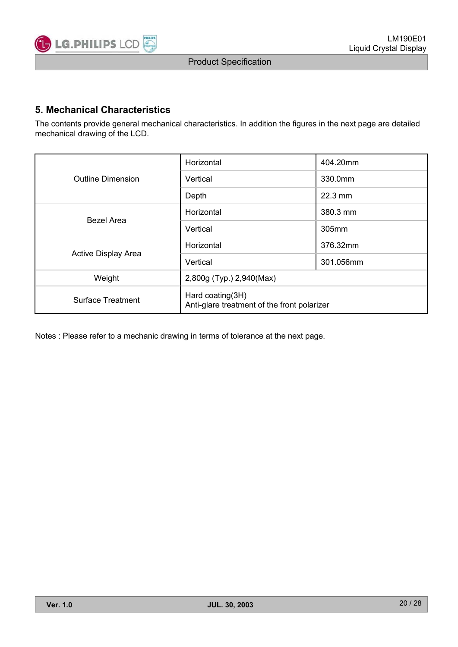

## **5. Mechanical Characteristics**

The contents provide general mechanical characteristics. In addition the figures in the next page are detailed mechanical drawing of the LCD.

|                          | Horizontal                                                      | 404.20mm          |  |  |  |  |
|--------------------------|-----------------------------------------------------------------|-------------------|--|--|--|--|
| <b>Outline Dimension</b> | Vertical                                                        | 330.0mm           |  |  |  |  |
|                          | Depth                                                           | $22.3 \text{ mm}$ |  |  |  |  |
| Bezel Area               | Horizontal                                                      | 380.3 mm          |  |  |  |  |
|                          | Vertical                                                        | 305mm             |  |  |  |  |
|                          | Horizontal                                                      | 376.32mm          |  |  |  |  |
| Active Display Area      | Vertical                                                        | 301.056mm         |  |  |  |  |
| Weight                   | 2,800g (Typ.) 2,940(Max)                                        |                   |  |  |  |  |
| <b>Surface Treatment</b> | Hard coating(3H)<br>Anti-glare treatment of the front polarizer |                   |  |  |  |  |

Notes : Please refer to a mechanic drawing in terms of tolerance at the next page.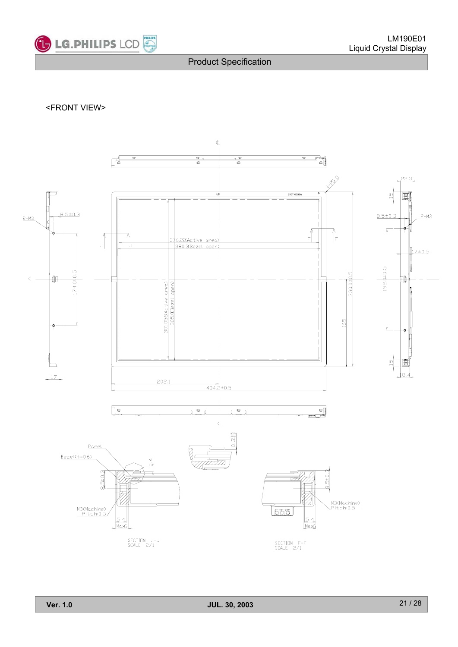

#### <FRONT VIEW>

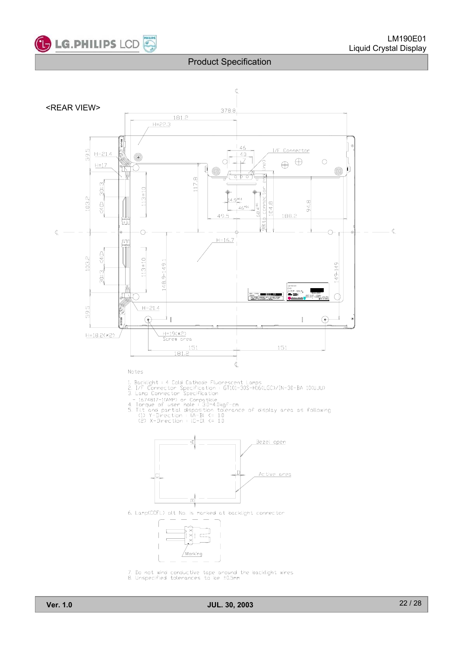

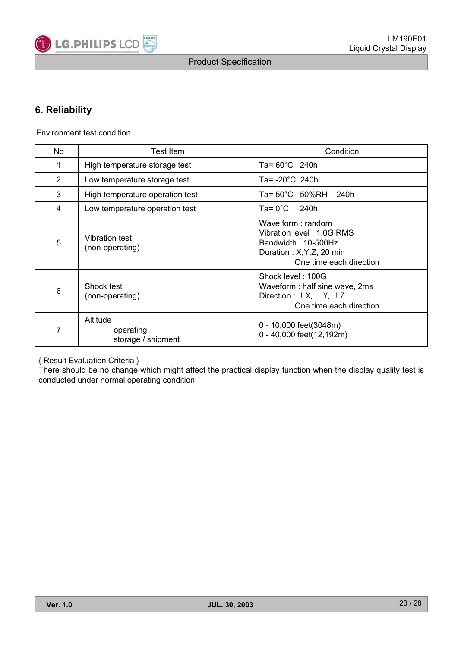

## **6. Reliability**

Environment test condition

| No.             | Test Item                                   | Condition                                                                                                                      |
|-----------------|---------------------------------------------|--------------------------------------------------------------------------------------------------------------------------------|
| 1               | High temperature storage test               | Ta= 60°C 240h                                                                                                                  |
| 2               | Low temperature storage test                | Ta= -20°C 240h                                                                                                                 |
| 3               | High temperature operation test             | Ta= 50°C 50%RH 240h                                                                                                            |
| 4               | Low temperature operation test              | Ta= 0°C l<br>240h                                                                                                              |
| 5               | <b>Vibration test</b><br>(non-operating)    | Wave form : random<br>Vibration level: 1.0G RMS<br>Bandwidth: 10-500Hz<br>Duration: X, Y, Z, 20 min<br>One time each direction |
| $6\phantom{1}6$ | Shock test<br>(non-operating)               | Shock level: 100G<br>Waveform: half sine wave, 2ms<br>Direction : $\pm X$ , $\pm Y$ , $\pm Z$<br>One time each direction       |
| 7               | Altitude<br>operating<br>storage / shipment | 0 - 10,000 feet(3048m)<br>0 - 40,000 feet(12,192m)                                                                             |

{ Result Evaluation Criteria }

There should be no change which might affect the practical display function when the display quality test is conducted under normal operating condition.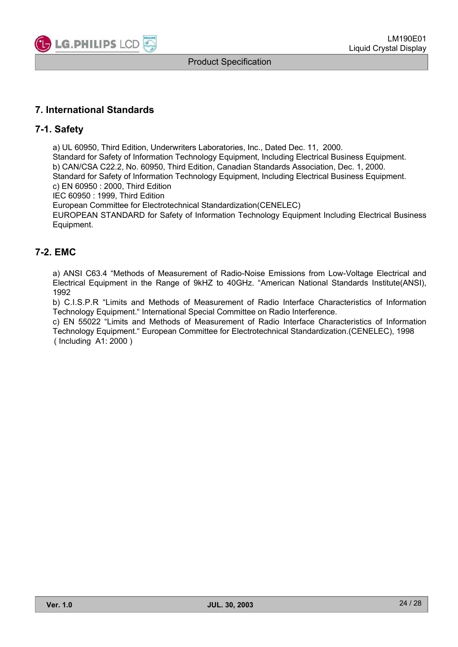

## **7. International Standards**

#### **7-1. Safety**

a) UL 60950, Third Edition, Underwriters Laboratories, Inc., Dated Dec. 11, 2000. Standard for Safety of Information Technology Equipment, Including Electrical Business Equipment. b) CAN/CSA C22.2, No. 60950, Third Edition, Canadian Standards Association, Dec. 1, 2000. Standard for Safety of Information Technology Equipment, Including Electrical Business Equipment. c) EN 60950 : 2000, Third Edition

IEC 60950 : 1999, Third Edition

European Committee for Electrotechnical Standardization(CENELEC)

EUROPEAN STANDARD for Safety of Information Technology Equipment Including Electrical Business Equipment.

### **7-2. EMC**

a) ANSI C63.4 "Methods of Measurement of Radio-Noise Emissions from Low-Voltage Electrical and Electrical Equipment in the Range of 9kHZ to 40GHz. "American National Standards Institute(ANSI), 1992

b) C.I.S.P.R "Limits and Methods of Measurement of Radio Interface Characteristics of Information Technology Equipment." International Special Committee on Radio Interference.

c) EN 55022 "Limits and Methods of Measurement of Radio Interface Characteristics of Information Technology Equipment." European Committee for Electrotechnical Standardization.(CENELEC), 1998 ( Including A1: 2000 )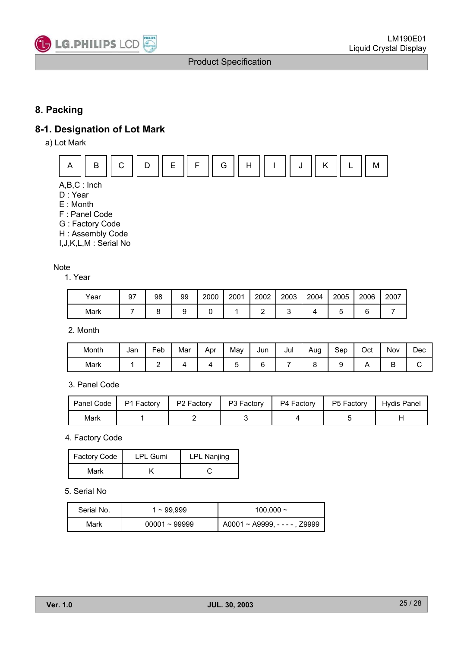

## **8. Packing**

## **8-1. Designation of Lot Mark**

a) Lot Mark



A,B,C : Inch

- D : Year
- E : Month
- F : Panel Code
- G : Factory Code
- H : Assembly Code
- I,J,K,L,M : Serial No

#### **Note**

1. Year

| Year | 97 | 98 | 99 | 2000 | 2001 | 2002 | 2003 | 2004 | 2005 | 2006 | 2007 |
|------|----|----|----|------|------|------|------|------|------|------|------|
| Mark |    |    |    |      |      |      |      |      |      |      |      |

2. Month

| Month | Jan | Feb | Mar | Apr | May | Jun    | Jul | Aug | Sep | Oct | Nov | Dec |
|-------|-----|-----|-----|-----|-----|--------|-----|-----|-----|-----|-----|-----|
| Mark  |     | -   |     |     |     | ◠<br>L |     |     | -   |     | -   |     |

#### 3. Panel Code

| Panel Code | P1 Factory | P2 Factory | P3 Factory | P4 Factory | P5 Factory | Hydis Panel |
|------------|------------|------------|------------|------------|------------|-------------|
| Mark       |            |            |            |            |            |             |

4. Factory Code

| Factory Code | <b>LPL Gumi</b> | <b>LPL Nanjing</b> |
|--------------|-----------------|--------------------|
| Mark         |                 |                    |

#### 5. Serial No

| Serial No. | 1 ~ 99.999      | $100.000 \sim$                  |
|------------|-----------------|---------------------------------|
| Mark       | $00001 - 99999$ | $A0001 \sim A9999, ---$ , Z9999 |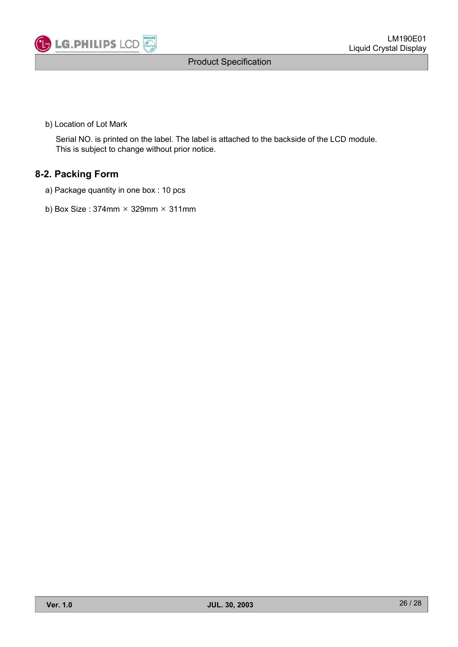

b) Location of Lot Mark

Serial NO. is printed on the label. The label is attached to the backside of the LCD module. This is subject to change without prior notice.

## **8-2. Packing Form**

- a) Package quantity in one box : 10 pcs
- b) Box Size:  $374$ mm  $\times$  329mm  $\times$  311mm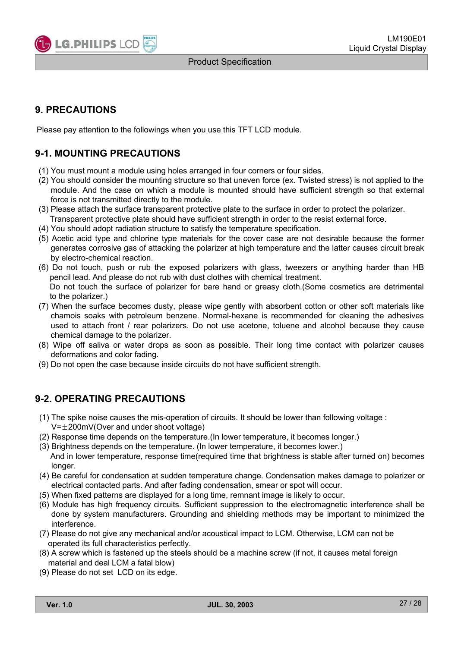

## **9. PRECAUTIONS**

Please pay attention to the followings when you use this TFT LCD module.

## **9-1. MOUNTING PRECAUTIONS**

- (1) You must mount a module using holes arranged in four corners or four sides.
- (2) You should consider the mounting structure so that uneven force (ex. Twisted stress) is not applied to the module. And the case on which a module is mounted should have sufficient strength so that external force is not transmitted directly to the module.
- (3) Please attach the surface transparent protective plate to the surface in order to protect the polarizer.

Transparent protective plate should have sufficient strength in order to the resist external force.

- (4) You should adopt radiation structure to satisfy the temperature specification.
- (5) Acetic acid type and chlorine type materials for the cover case are not desirable because the former generates corrosive gas of attacking the polarizer at high temperature and the latter causes circuit break by electro-chemical reaction.
- (6) Do not touch, push or rub the exposed polarizers with glass, tweezers or anything harder than HB pencil lead. And please do not rub with dust clothes with chemical treatment. Do not touch the surface of polarizer for bare hand or greasy cloth.(Some cosmetics are detrimental to the polarizer.)
- (7) When the surface becomes dusty, please wipe gently with absorbent cotton or other soft materials like chamois soaks with petroleum benzene. Normal-hexane is recommended for cleaning the adhesives used to attach front / rear polarizers. Do not use acetone, toluene and alcohol because they cause chemical damage to the polarizer.
- (8) Wipe off saliva or water drops as soon as possible. Their long time contact with polarizer causes deformations and color fading.
- (9) Do not open the case because inside circuits do not have sufficient strength.

## **9-2. OPERATING PRECAUTIONS**

- (1) The spike noise causes the mis-operation of circuits. It should be lower than following voltage :  $V=\pm 200$ mV(Over and under shoot voltage)
- (2) Response time depends on the temperature.(In lower temperature, it becomes longer.)
- (3) Brightness depends on the temperature. (In lower temperature, it becomes lower.)

And in lower temperature, response time(required time that brightness is stable after turned on) becomes longer.

- (4) Be careful for condensation at sudden temperature change. Condensation makes damage to polarizer or electrical contacted parts. And after fading condensation, smear or spot will occur.
- (5) When fixed patterns are displayed for a long time, remnant image is likely to occur.
- (6) Module has high frequency circuits. Sufficient suppression to the electromagnetic interference shall be done by system manufacturers. Grounding and shielding methods may be important to minimized the interference.
- (7) Please do not give any mechanical and/or acoustical impact to LCM. Otherwise, LCM can not be operated its full characteristics perfectly.
- (8) A screw which is fastened up the steels should be a machine screw (if not, it causes metal foreign material and deal LCM a fatal blow)
- (9) Please do not set LCD on its edge.